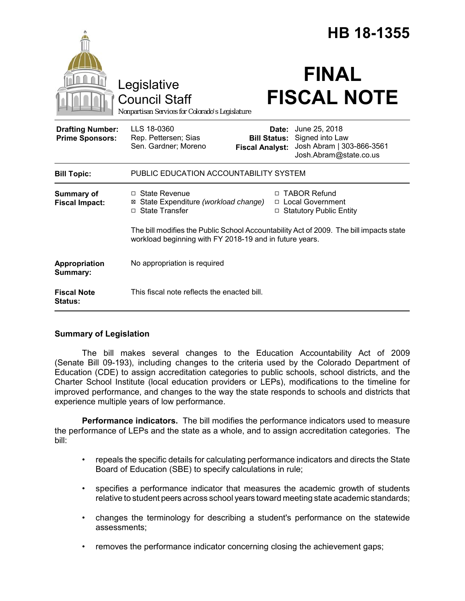|                                                   |                                                                                                                                                   |                                                        | HB 18-1355                                                                              |  |
|---------------------------------------------------|---------------------------------------------------------------------------------------------------------------------------------------------------|--------------------------------------------------------|-----------------------------------------------------------------------------------------|--|
|                                                   | Legislative<br><b>Council Staff</b><br>Nonpartisan Services for Colorado's Legislature                                                            |                                                        | <b>FINAL</b><br><b>FISCAL NOTE</b>                                                      |  |
| <b>Drafting Number:</b><br><b>Prime Sponsors:</b> | LLS 18-0360<br>Rep. Pettersen; Sias<br>Sen. Gardner; Moreno                                                                                       | Date:<br><b>Bill Status:</b><br><b>Fiscal Analyst:</b> | June 25, 2018<br>Signed into Law<br>Josh Abram   303-866-3561<br>Josh.Abram@state.co.us |  |
| <b>Bill Topic:</b>                                | PUBLIC EDUCATION ACCOUNTABILITY SYSTEM                                                                                                            |                                                        |                                                                                         |  |
| <b>Summary of</b><br><b>Fiscal Impact:</b>        | $\Box$ State Revenue<br>State Expenditure (workload change)<br>□ State Transfer                                                                   |                                                        | □ TABOR Refund<br>□ Local Government<br>□ Statutory Public Entity                       |  |
|                                                   | The bill modifies the Public School Accountability Act of 2009. The bill impacts state<br>workload beginning with FY 2018-19 and in future years. |                                                        |                                                                                         |  |
| Appropriation<br>Summary:                         | No appropriation is required                                                                                                                      |                                                        |                                                                                         |  |
| <b>Fiscal Note</b><br>Status:                     | This fiscal note reflects the enacted bill.                                                                                                       |                                                        |                                                                                         |  |

# **Summary of Legislation**

The bill makes several changes to the Education Accountability Act of 2009 (Senate Bill 09-193), including changes to the criteria used by the Colorado Department of Education (CDE) to assign accreditation categories to public schools, school districts, and the Charter School Institute (local education providers or LEPs), modifications to the timeline for improved performance, and changes to the way the state responds to schools and districts that experience multiple years of low performance.

**Performance indicators.** The bill modifies the performance indicators used to measure the performance of LEPs and the state as a whole, and to assign accreditation categories. The bill:

- repeals the specific details for calculating performance indicators and directs the State Board of Education (SBE) to specify calculations in rule;
- specifies a performance indicator that measures the academic growth of students relative to student peers across school years toward meeting state academic standards;
- changes the terminology for describing a student's performance on the statewide assessments;
- removes the performance indicator concerning closing the achievement gaps;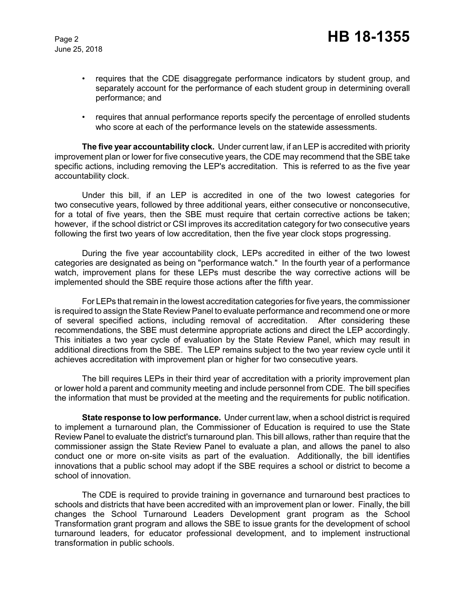June 25, 2018

- requires that the CDE disaggregate performance indicators by student group, and separately account for the performance of each student group in determining overall performance; and
- requires that annual performance reports specify the percentage of enrolled students who score at each of the performance levels on the statewide assessments.

**The five year accountability clock.** Under current law, if an LEP is accredited with priority improvement plan or lower for five consecutive years, the CDE may recommend that the SBE take specific actions, including removing the LEP's accreditation. This is referred to as the five year accountability clock.

Under this bill, if an LEP is accredited in one of the two lowest categories for two consecutive years, followed by three additional years, either consecutive or nonconsecutive, for a total of five years, then the SBE must require that certain corrective actions be taken; however, if the school district or CSI improves its accreditation category for two consecutive years following the first two years of low accreditation, then the five year clock stops progressing.

During the five year accountability clock, LEPs accredited in either of the two lowest categories are designated as being on "performance watch." In the fourth year of a performance watch, improvement plans for these LEPs must describe the way corrective actions will be implemented should the SBE require those actions after the fifth year.

For LEPs that remain in the lowest accreditation categories for five years, the commissioner is required to assign the State Review Panel to evaluate performance and recommend one or more of several specified actions, including removal of accreditation. After considering these recommendations, the SBE must determine appropriate actions and direct the LEP accordingly. This initiates a two year cycle of evaluation by the State Review Panel, which may result in additional directions from the SBE. The LEP remains subject to the two year review cycle until it achieves accreditation with improvement plan or higher for two consecutive years.

The bill requires LEPs in their third year of accreditation with a priority improvement plan or lower hold a parent and community meeting and include personnel from CDE. The bill specifies the information that must be provided at the meeting and the requirements for public notification.

**State response to low performance.** Under current law, when a school district is required to implement a turnaround plan, the Commissioner of Education is required to use the State Review Panel to evaluate the district's turnaround plan. This bill allows, rather than require that the commissioner assign the State Review Panel to evaluate a plan, and allows the panel to also conduct one or more on-site visits as part of the evaluation. Additionally, the bill identifies innovations that a public school may adopt if the SBE requires a school or district to become a school of innovation.

The CDE is required to provide training in governance and turnaround best practices to schools and districts that have been accredited with an improvement plan or lower. Finally, the bill changes the School Turnaround Leaders Development grant program as the School Transformation grant program and allows the SBE to issue grants for the development of school turnaround leaders, for educator professional development, and to implement instructional transformation in public schools.